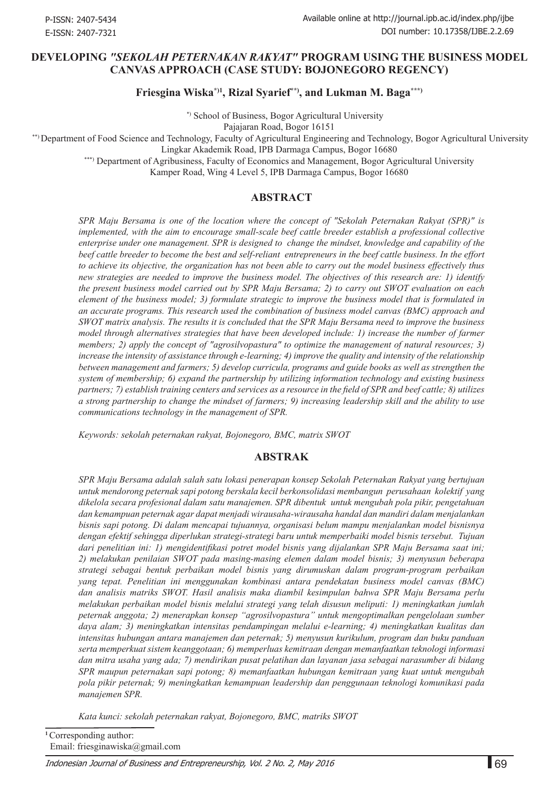#### **Developing** *"Sekolah Peternakan Rakyat"* **Program Using the Business Model Canvas Approach (Case Study: Bojonegoro Regency)**

**Friesgina Wiska\*)1, Rizal Syarief\*\*), and Lukman M. Baga\*\*\*)**

 \*) School of Business, Bogor Agricultural University Pajajaran Road, Bogor 16151

\*\*) Department of Food Science and Technology, Faculty of Agricultural Engineering and Technology, Bogor Agricultural University

Lingkar Akademik Road, IPB Darmaga Campus, Bogor 16680

\*\*\*) Department of Agribusiness, Faculty of Economics and Management, Bogor Agricultural University

Kamper Road, Wing 4 Level 5, IPB Darmaga Campus, Bogor 16680

## **ABSTRACT**

*SPR Maju Bersama is one of the location where the concept of "Sekolah Peternakan Rakyat (SPR)" is implemented, with the aim to encourage small-scale beef cattle breeder establish a professional collective enterprise under one management. SPR is designed to change the mindset, knowledge and capability of the beef cattle breeder to become the best and self-reliant entrepreneurs in the beef cattle business. In the effort to achieve its objective, the organization has not been able to carry out the model business effectively thus new strategies are needed to improve the business model. The objectives of this research are: 1) identify the present business model carried out by SPR Maju Bersama; 2) to carry out SWOT evaluation on each element of the business model; 3) formulate strategic to improve the business model that is formulated in an accurate programs. This research used the combination of business model canvas (BMC) approach and SWOT matrix analysis. The results it is concluded that the SPR Maju Bersama need to improve the business model through alternatives strategies that have been developed include: 1) increase the number of farmer members; 2) apply the concept of "agrosilvopastura" to optimize the management of natural resources; 3) increase the intensity of assistance through e-learning; 4) improve the quality and intensity of the relationship between management and farmers; 5) develop curricula, programs and guide books as well as strengthen the system of membership; 6) expand the partnership by utilizing information technology and existing business partners; 7) establish training centers and services as a resource in the field of SPR and beef cattle; 8) utilizes a strong partnership to change the mindset of farmers; 9) increasing leadership skill and the ability to use communications technology in the management of SPR.*

*Keywords: sekolah peternakan rakyat, Bojonegoro, BMC, matrix SWOT* 

#### **ABSTRAK**

*SPR Maju Bersama adalah salah satu lokasi penerapan konsep Sekolah Peternakan Rakyat yang bertujuan untuk mendorong peternak sapi potong berskala kecil berkonsolidasi membangun perusahaan kolektif yang dikelola secara profesional dalam satu manajemen. SPR dibentuk untuk mengubah pola pikir, pengetahuan dan kemampuan peternak agar dapat menjadi wirausaha-wirausaha handal dan mandiri dalam menjalankan bisnis sapi potong. Di dalam mencapai tujuannya, organisasi belum mampu menjalankan model bisnisnya dengan efektif sehingga diperlukan strategi-strategi baru untuk memperbaiki model bisnis tersebut. Tujuan dari penelitian ini: 1) mengidentifikasi potret model bisnis yang dijalankan SPR Maju Bersama saat ini; 2) melakukan penilaian SWOT pada masing-masing elemen dalam model bisnis; 3) menyusun beberapa strategi sebagai bentuk perbaikan model bisnis yang dirumuskan dalam program-program perbaikan yang tepat. Penelitian ini menggunakan kombinasi antara pendekatan business model canvas (BMC) dan analisis matriks SWOT. Hasil analisis maka diambil kesimpulan bahwa SPR Maju Bersama perlu melakukan perbaikan model bisnis melalui strategi yang telah disusun meliputi: 1) meningkatkan jumlah peternak anggota; 2) menerapkan konsep "agrosilvopastura" untuk mengoptimalkan pengelolaan sumber daya alam; 3) meningkatkan intensitas pendampingan melalui e-learning; 4) meningkatkan kualitas dan intensitas hubungan antara manajemen dan peternak; 5) menyusun kurikulum, program dan buku panduan serta memperkuat sistem keanggotaan; 6) memperluas kemitraan dengan memanfaatkan teknologi informasi dan mitra usaha yang ada; 7) mendirikan pusat pelatihan dan layanan jasa sebagai narasumber di bidang SPR maupun peternakan sapi potong; 8) memanfaatkan hubungan kemitraan yang kuat untuk mengubah pola pikir peternak; 9) meningkatkan kemampuan leadership dan penggunaan teknologi komunikasi pada manajemen SPR.*

*Kata kunci: sekolah peternakan rakyat, Bojonegoro, BMC, matriks SWOT*

**<sup>1</sup>**Corresponding author: Email: friesginawiska@gmail.com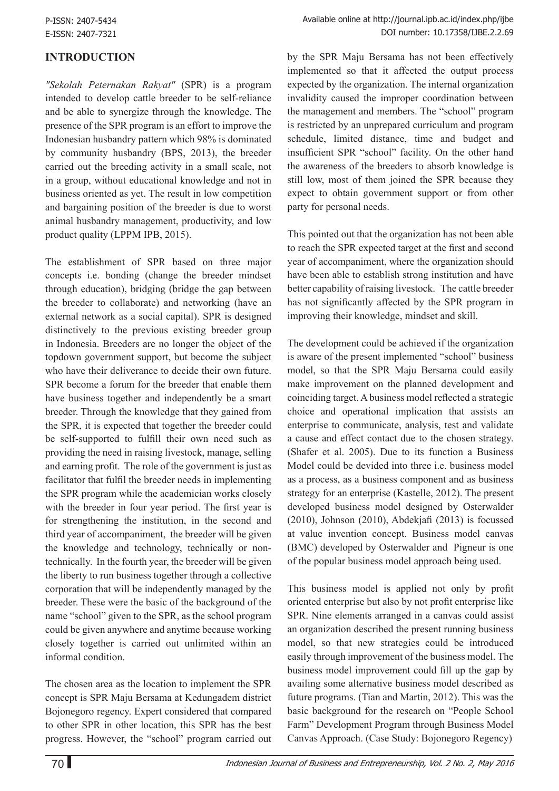# **INTRODUCTION**

*"Sekolah Peternakan Rakyat"* (SPR) is a program intended to develop cattle breeder to be self-reliance and be able to synergize through the knowledge. The presence of the SPR program is an effort to improve the Indonesian husbandry pattern which 98% is dominated by community husbandry (BPS, 2013), the breeder carried out the breeding activity in a small scale, not in a group, without educational knowledge and not in business oriented as yet. The result in low competition and bargaining position of the breeder is due to worst animal husbandry management, productivity, and low product quality (LPPM IPB, 2015).

The establishment of SPR based on three major concepts i.e. bonding (change the breeder mindset through education), bridging (bridge the gap between the breeder to collaborate) and networking (have an external network as a social capital). SPR is designed distinctively to the previous existing breeder group in Indonesia. Breeders are no longer the object of the topdown government support, but become the subject who have their deliverance to decide their own future. SPR become a forum for the breeder that enable them have business together and independently be a smart breeder. Through the knowledge that they gained from the SPR, it is expected that together the breeder could be self-supported to fulfill their own need such as providing the need in raising livestock, manage, selling and earning profit. The role of the government is just as facilitator that fulfil the breeder needs in implementing the SPR program while the academician works closely with the breeder in four year period. The first year is for strengthening the institution, in the second and third year of accompaniment, the breeder will be given the knowledge and technology, technically or nontechnically. In the fourth year, the breeder will be given the liberty to run business together through a collective corporation that will be independently managed by the breeder. These were the basic of the background of the name "school" given to the SPR, as the school program could be given anywhere and anytime because working closely together is carried out unlimited within an informal condition.

The chosen area as the location to implement the SPR concept is SPR Maju Bersama at Kedungadem district Bojonegoro regency. Expert considered that compared to other SPR in other location, this SPR has the best progress. However, the "school" program carried out by the SPR Maju Bersama has not been effectively implemented so that it affected the output process expected by the organization. The internal organization invalidity caused the improper coordination between the management and members. The "school" program is restricted by an unprepared curriculum and program schedule, limited distance, time and budget and insufficient SPR "school" facility. On the other hand the awareness of the breeders to absorb knowledge is still low, most of them joined the SPR because they expect to obtain government support or from other party for personal needs.

This pointed out that the organization has not been able to reach the SPR expected target at the first and second year of accompaniment, where the organization should have been able to establish strong institution and have better capability of raising livestock. The cattle breeder has not significantly affected by the SPR program in improving their knowledge, mindset and skill.

The development could be achieved if the organization is aware of the present implemented "school" business model, so that the SPR Maju Bersama could easily make improvement on the planned development and coinciding target. A business model reflected a strategic choice and operational implication that assists an enterprise to communicate, analysis, test and validate a cause and effect contact due to the chosen strategy. (Shafer et al. 2005). Due to its function a Business Model could be devided into three i.e. business model as a process, as a business component and as business strategy for an enterprise (Kastelle, 2012). The present developed business model designed by Osterwalder (2010), Johnson (2010), Abdekjafi (2013) is focussed at value invention concept. Business model canvas (BMC) developed by Osterwalder and Pigneur is one of the popular business model approach being used.

This business model is applied not only by profit oriented enterprise but also by not profit enterprise like SPR. Nine elements arranged in a canvas could assist an organization described the present running business model, so that new strategies could be introduced easily through improvement of the business model. The business model improvement could fill up the gap by availing some alternative business model described as future programs. (Tian and Martin, 2012). This was the basic background for the research on "People School Farm" Development Program through Business Model Canvas Approach. (Case Study: Bojonegoro Regency)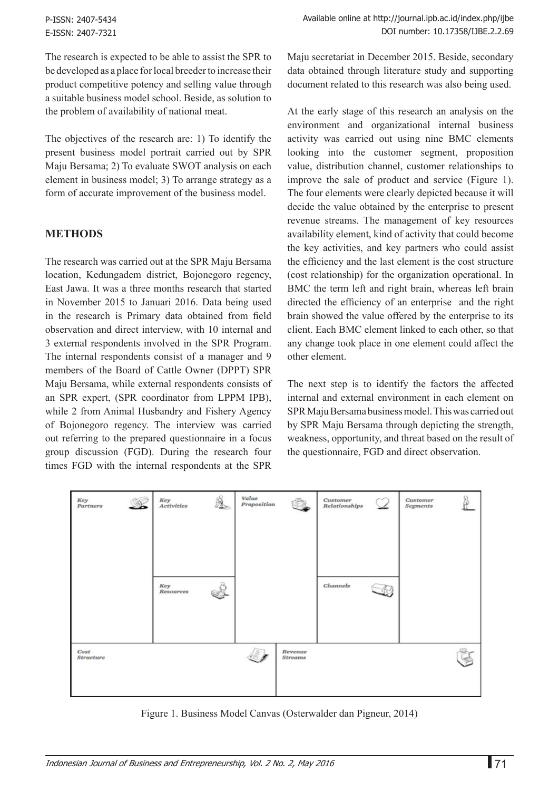P-ISSN: 2407-5434 E-ISSN: 2407-7321

The research is expected to be able to assist the SPR to be developed as a place for local breeder to increase their product competitive potency and selling value through a suitable business model school. Beside, as solution to the problem of availability of national meat.

The objectives of the research are: 1) To identify the present business model portrait carried out by SPR Maju Bersama; 2) To evaluate SWOT analysis on each element in business model; 3) To arrange strategy as a form of accurate improvement of the business model.

#### **METHODS**

The research was carried out at the SPR Maju Bersama location, Kedungadem district, Bojonegoro regency, East Jawa. It was a three months research that started in November 2015 to Januari 2016. Data being used in the research is Primary data obtained from field observation and direct interview, with 10 internal and 3 external respondents involved in the SPR Program. The internal respondents consist of a manager and 9 members of the Board of Cattle Owner (DPPT) SPR Maju Bersama, while external respondents consists of an SPR expert, (SPR coordinator from LPPM IPB), while 2 from Animal Husbandry and Fishery Agency of Bojonegoro regency. The interview was carried out referring to the prepared questionnaire in a focus group discussion (FGD). During the research four times FGD with the internal respondents at the SPR

Maju secretariat in December 2015. Beside, secondary data obtained through literature study and supporting document related to this research was also being used.

At the early stage of this research an analysis on the environment and organizational internal business activity was carried out using nine BMC elements looking into the customer segment, proposition value, distribution channel, customer relationships to improve the sale of product and service (Figure 1). The four elements were clearly depicted because it will decide the value obtained by the enterprise to present revenue streams. The management of key resources availability element, kind of activity that could become the key activities, and key partners who could assist the efficiency and the last element is the cost structure (cost relationship) for the organization operational. In BMC the term left and right brain, whereas left brain directed the efficiency of an enterprise and the right brain showed the value offered by the enterprise to its client. Each BMC element linked to each other, so that any change took place in one element could affect the other element.

The next step is to identify the factors the affected internal and external environment in each element on SPR Maju Bersama business model. This was carried out by SPR Maju Bersama through depicting the strength, weakness, opportunity, and threat based on the result of the questionnaire, FGD and direct observation.



Figure 1. Business Model Canvas (Osterwalder dan Pigneur, 2014)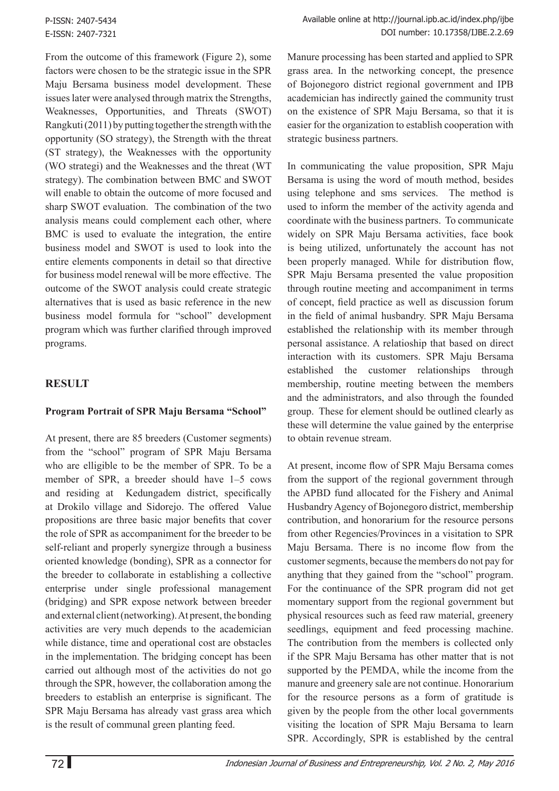From the outcome of this framework (Figure 2), some factors were chosen to be the strategic issue in the SPR Maju Bersama business model development. These issues later were analysed through matrix the Strengths, Weaknesses, Opportunities, and Threats (SWOT) Rangkuti (2011) by putting together the strength with the opportunity (SO strategy), the Strength with the threat (ST strategy), the Weaknesses with the opportunity (WO strategi) and the Weaknesses and the threat (WT strategy). The combination between BMC and SWOT will enable to obtain the outcome of more focused and sharp SWOT evaluation. The combination of the two analysis means could complement each other, where BMC is used to evaluate the integration, the entire business model and SWOT is used to look into the entire elements components in detail so that directive for business model renewal will be more effective. The outcome of the SWOT analysis could create strategic alternatives that is used as basic reference in the new business model formula for "school" development program which was further clarified through improved programs.

## **RESULT**

## **Program Portrait of SPR Maju Bersama "School"**

At present, there are 85 breeders (Customer segments) from the "school" program of SPR Maju Bersama who are elligible to be the member of SPR. To be a member of SPR, a breeder should have 1–5 cows and residing at Kedungadem district, specifically at Drokilo village and Sidorejo. The offered Value propositions are three basic major benefits that cover the role of SPR as accompaniment for the breeder to be self-reliant and properly synergize through a business oriented knowledge (bonding), SPR as a connector for the breeder to collaborate in establishing a collective enterprise under single professional management (bridging) and SPR expose network between breeder and external client (networking). At present, the bonding activities are very much depends to the academician while distance, time and operational cost are obstacles in the implementation. The bridging concept has been carried out although most of the activities do not go through the SPR, however, the collaboration among the breeders to establish an enterprise is significant. The SPR Maju Bersama has already vast grass area which is the result of communal green planting feed.

Manure processing has been started and applied to SPR grass area. In the networking concept, the presence of Bojonegoro district regional government and IPB academician has indirectly gained the community trust on the existence of SPR Maju Bersama, so that it is easier for the organization to establish cooperation with strategic business partners.

In communicating the value proposition, SPR Maju Bersama is using the word of mouth method, besides using telephone and sms services. The method is used to inform the member of the activity agenda and coordinate with the business partners. To communicate widely on SPR Maju Bersama activities, face book is being utilized, unfortunately the account has not been properly managed. While for distribution flow, SPR Maju Bersama presented the value proposition through routine meeting and accompaniment in terms of concept, field practice as well as discussion forum in the field of animal husbandry. SPR Maju Bersama established the relationship with its member through personal assistance. A relatioship that based on direct interaction with its customers. SPR Maju Bersama established the customer relationships through membership, routine meeting between the members and the administrators, and also through the founded group. These for element should be outlined clearly as these will determine the value gained by the enterprise to obtain revenue stream.

At present, income flow of SPR Maju Bersama comes from the support of the regional government through the APBD fund allocated for the Fishery and Animal Husbandry Agency of Bojonegoro district, membership contribution, and honorarium for the resource persons from other Regencies/Provinces in a visitation to SPR Maju Bersama. There is no income flow from the customer segments, because the members do not pay for anything that they gained from the "school" program. For the continuance of the SPR program did not get momentary support from the regional government but physical resources such as feed raw material, greenery seedlings, equipment and feed processing machine. The contribution from the members is collected only if the SPR Maju Bersama has other matter that is not supported by the PEMDA, while the income from the manure and greenery sale are not continue. Honorarium for the resource persons as a form of gratitude is given by the people from the other local governments visiting the location of SPR Maju Bersama to learn SPR. Accordingly, SPR is established by the central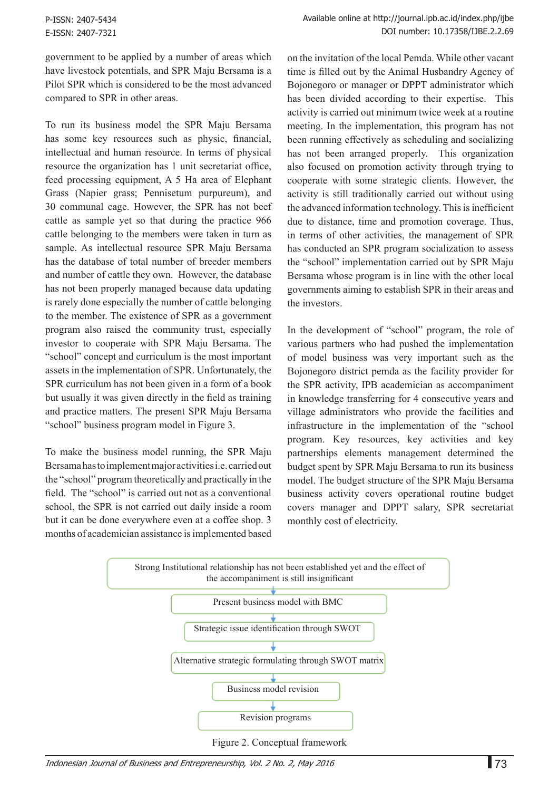government to be applied by a number of areas which have livestock potentials, and SPR Maju Bersama is a Pilot SPR which is considered to be the most advanced compared to SPR in other areas.

To run its business model the SPR Maju Bersama has some key resources such as physic, financial, intellectual and human resource. In terms of physical resource the organization has 1 unit secretariat office, feed processing equipment, A 5 Ha area of Elephant Grass (Napier grass; Pennisetum purpureum), and 30 communal cage. However, the SPR has not beef cattle as sample yet so that during the practice 966 cattle belonging to the members were taken in turn as sample. As intellectual resource SPR Maju Bersama has the database of total number of breeder members and number of cattle they own. However, the database has not been properly managed because data updating is rarely done especially the number of cattle belonging to the member. The existence of SPR as a government program also raised the community trust, especially investor to cooperate with SPR Maju Bersama. The "school" concept and curriculum is the most important assets in the implementation of SPR. Unfortunately, the SPR curriculum has not been given in a form of a book but usually it was given directly in the field as training and practice matters. The present SPR Maju Bersama "school" business program model in Figure 3.

To make the business model running, the SPR Maju Bersama has to implement major activities i.e. carried out the "school" program theoretically and practically in the field. The "school" is carried out not as a conventional school, the SPR is not carried out daily inside a room but it can be done everywhere even at a coffee shop. 3 months of academician assistance is implemented based

on the invitation of the local Pemda. While other vacant time is filled out by the Animal Husbandry Agency of Bojonegoro or manager or DPPT administrator which has been divided according to their expertise. This activity is carried out minimum twice week at a routine meeting. In the implementation, this program has not been running effectively as scheduling and socializing has not been arranged properly. This organization also focused on promotion activity through trying to cooperate with some strategic clients. However, the activity is still traditionally carried out without using the advanced information technology. This is inefficient due to distance, time and promotion coverage. Thus, in terms of other activities, the management of SPR has conducted an SPR program socialization to assess the "school" implementation carried out by SPR Maju Bersama whose program is in line with the other local governments aiming to establish SPR in their areas and the investors.

In the development of "school" program, the role of various partners who had pushed the implementation of model business was very important such as the Bojonegoro district pemda as the facility provider for the SPR activity, IPB academician as accompaniment in knowledge transferring for 4 consecutive years and village administrators who provide the facilities and infrastructure in the implementation of the "school program. Key resources, key activities and key partnerships elements management determined the budget spent by SPR Maju Bersama to run its business model. The budget structure of the SPR Maju Bersama business activity covers operational routine budget covers manager and DPPT salary, SPR secretariat monthly cost of electricity.

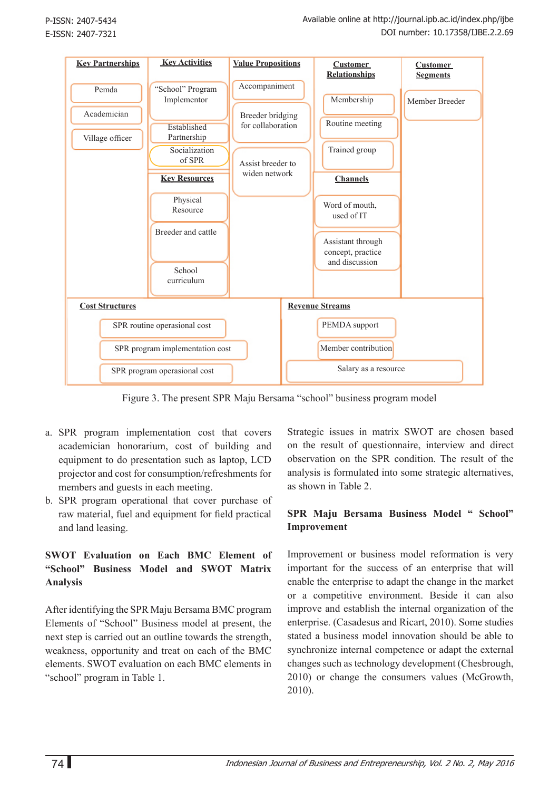

Figure 3. The present SPR Maju Bersama "school" business program model

- a. SPR program implementation cost that covers academician honorarium, cost of building and equipment to do presentation such as laptop, LCD projector and cost for consumption/refreshments for members and guests in each meeting.
- b. SPR program operational that cover purchase of raw material, fuel and equipment for field practical and land leasing.

## **SWOT Evaluation on Each BMC Element of "School" Business Model and SWOT Matrix Analysis**

After identifying the SPR Maju Bersama BMC program Elements of "School" Business model at present, the next step is carried out an outline towards the strength, weakness, opportunity and treat on each of the BMC elements. SWOT evaluation on each BMC elements in "school" program in Table 1.

Strategic issues in matrix SWOT are chosen based on the result of questionnaire, interview and direct observation on the SPR condition. The result of the analysis is formulated into some strategic alternatives, as shown in Table 2.

#### **SPR Maju Bersama Business Model " School" Improvement**

Improvement or business model reformation is very important for the success of an enterprise that will enable the enterprise to adapt the change in the market or a competitive environment. Beside it can also improve and establish the internal organization of the enterprise. (Casadesus and Ricart, 2010). Some studies stated a business model innovation should be able to synchronize internal competence or adapt the external changes such as technology development (Chesbrough, 2010) or change the consumers values (McGrowth, 2010).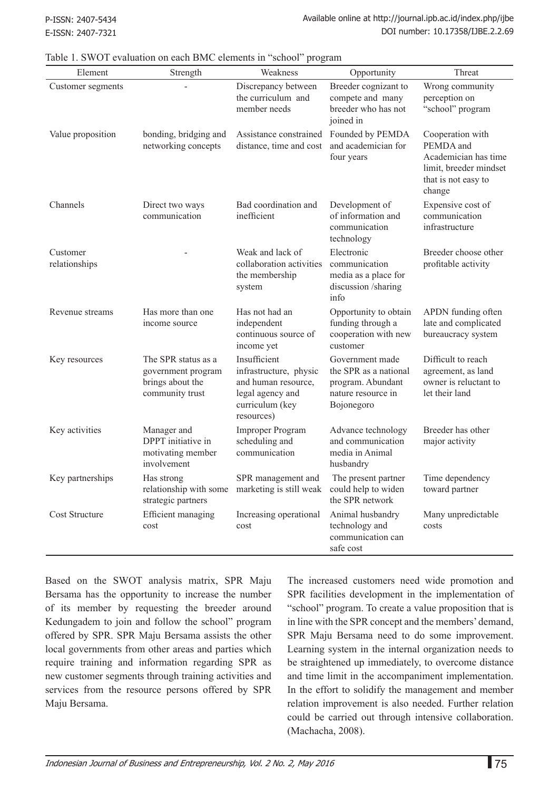| Element                   | Strength                                                                         | Weakness                                                                                                           | Opportunity                                                                                       | Threat                                                                                                           |
|---------------------------|----------------------------------------------------------------------------------|--------------------------------------------------------------------------------------------------------------------|---------------------------------------------------------------------------------------------------|------------------------------------------------------------------------------------------------------------------|
| Customer segments         |                                                                                  | Discrepancy between<br>the curriculum and<br>member needs                                                          | Breeder cognizant to<br>compete and many<br>breeder who has not<br>joined in                      | Wrong community<br>perception on<br>"school" program                                                             |
| Value proposition         | bonding, bridging and<br>networking concepts                                     | Assistance constrained<br>distance, time and cost                                                                  | Founded by PEMDA<br>and academician for<br>four years                                             | Cooperation with<br>PEMDA and<br>Academician has time<br>limit, breeder mindset<br>that is not easy to<br>change |
| Channels                  | Direct two ways<br>communication                                                 | Bad coordination and<br>inefficient                                                                                | Development of<br>of information and<br>communication<br>technology                               | Expensive cost of<br>communication<br>infrastructure                                                             |
| Customer<br>relationships |                                                                                  | Weak and lack of<br>collaboration activities<br>the membership<br>system                                           | Electronic<br>communication<br>media as a place for<br>discussion /sharing<br>info                | Breeder choose other<br>profitable activity                                                                      |
| Revenue streams           | Has more than one<br>income source                                               | Has not had an<br>independent<br>continuous source of<br>income yet                                                | Opportunity to obtain<br>funding through a<br>cooperation with new<br>customer                    | APDN funding often<br>late and complicated<br>bureaucracy system                                                 |
| Key resources             | The SPR status as a<br>government program<br>brings about the<br>community trust | Insufficient<br>infrastructure, physic<br>and human resource,<br>legal agency and<br>curriculum (key<br>resources) | Government made<br>the SPR as a national<br>program. Abundant<br>nature resource in<br>Bojonegoro | Difficult to reach<br>agreement, as land<br>owner is reluctant to<br>let their land                              |
| Key activities            | Manager and<br>DPPT initiative in<br>motivating member<br>involvement            | <b>Improper Program</b><br>scheduling and<br>communication                                                         | Advance technology<br>and communication<br>media in Animal<br>husbandry                           | Breeder has other<br>major activity                                                                              |
| Key partnerships          | Has strong<br>strategic partners                                                 | SPR management and<br>relationship with some marketing is still weak could help to widen                           | The present partner<br>the SPR network                                                            | Time dependency<br>toward partner                                                                                |
| Cost Structure            | Efficient managing<br>cost                                                       | Increasing operational<br>cost                                                                                     | Animal husbandry<br>technology and<br>communication can<br>safe cost                              | Many unpredictable<br>costs                                                                                      |

Table 1. SWOT evaluation on each BMC elements in "school" program

Based on the SWOT analysis matrix, SPR Maju Bersama has the opportunity to increase the number of its member by requesting the breeder around Kedungadem to join and follow the school" program offered by SPR. SPR Maju Bersama assists the other local governments from other areas and parties which require training and information regarding SPR as new customer segments through training activities and services from the resource persons offered by SPR Maju Bersama.

The increased customers need wide promotion and SPR facilities development in the implementation of "school" program. To create a value proposition that is in line with the SPR concept and the members' demand, SPR Maju Bersama need to do some improvement. Learning system in the internal organization needs to be straightened up immediately, to overcome distance and time limit in the accompaniment implementation. In the effort to solidify the management and member relation improvement is also needed. Further relation could be carried out through intensive collaboration. (Machacha, 2008).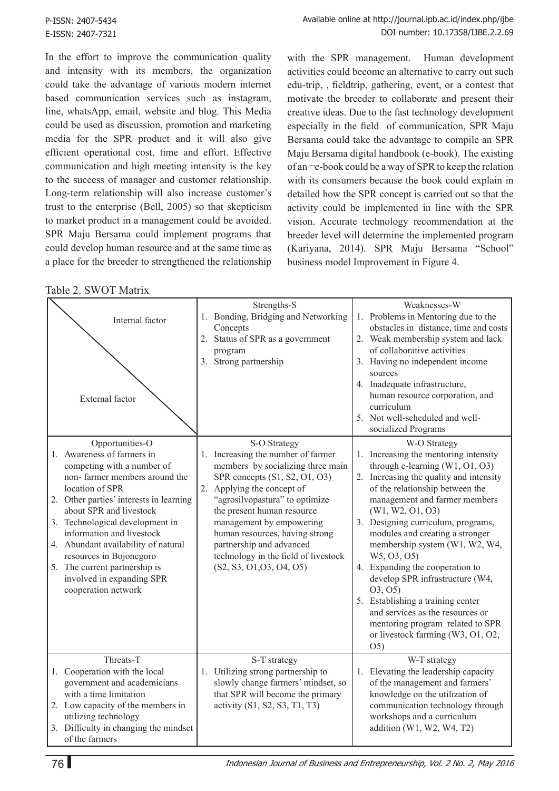In the effort to improve the communication quality and intensity with its members, the organization could take the advantage of various modern internet based communication services such as instagram, line, whatsApp, email, website and blog. This Media could be used as discussion, promotion and marketing media for the SPR product and it will also give efficient operational cost, time and effort. Effective communication and high meeting intensity is the key to the success of manager and customer relationship. Long-term relationship will also increase customer's trust to the enterprise (Bell, 2005) so that skepticism to market product in a management could be avoided. SPR Maju Bersama could implement programs that could develop human resource and at the same time as a place for the breeder to strengthened the relationship

with the SPR management. Human development activities could become an alternative to carry out such edu-trip, , fieldtrip, gathering, event, or a contest that motivate the breeder to collaborate and present their creative ideas. Due to the fast technology development especially in the field of communication, SPR Maju Bersama could take the advantage to compile an SPR Maju Bersama digital handbook (e-book). The existing of an ¬e-book could be a way of SPR to keep the relation with its consumers because the book could explain in detailed how the SPR concept is carried out so that the activity could be implemented in line with the SPR vision. Accurate technology recommendation at the breeder level will determine the implemented program (Kariyana, 2014). SPR Maju Bersama "School" business model Improvement in Figure 4.

| Table 2. SWOT Matrix |  |  |
|----------------------|--|--|
|----------------------|--|--|

| TAUIT 2. D WUT IVIAIIIA                                                                                                                                                                                                                                                                                                                                                                                                      |                                                                                                                                                                                                                                                                                                                                                                                      |                                                                                                                                                                                                                                                                                                                                                                                                                                                                                                                                                                                                               |
|------------------------------------------------------------------------------------------------------------------------------------------------------------------------------------------------------------------------------------------------------------------------------------------------------------------------------------------------------------------------------------------------------------------------------|--------------------------------------------------------------------------------------------------------------------------------------------------------------------------------------------------------------------------------------------------------------------------------------------------------------------------------------------------------------------------------------|---------------------------------------------------------------------------------------------------------------------------------------------------------------------------------------------------------------------------------------------------------------------------------------------------------------------------------------------------------------------------------------------------------------------------------------------------------------------------------------------------------------------------------------------------------------------------------------------------------------|
| Internal factor<br>External factor                                                                                                                                                                                                                                                                                                                                                                                           | Strengths-S<br>1. Bonding, Bridging and Networking<br>Concepts<br>2. Status of SPR as a government<br>program<br>3. Strong partnership                                                                                                                                                                                                                                               | Weaknesses-W<br>1. Problems in Mentoring due to the<br>obstacles in distance, time and costs<br>2. Weak membership system and lack<br>of collaborative activities<br>3. Having no independent income<br>sources<br>4. Inadequate infrastructure,<br>human resource corporation, and<br>curriculum<br>5. Not well-scheduled and well-<br>socialized Programs                                                                                                                                                                                                                                                   |
| Opportunities-O<br>1. Awareness of farmers in<br>competing with a number of<br>non-farmer members around the<br>location of SPR<br>2. Other parties' interests in learning<br>about SPR and livestock<br>3. Technological development in<br>information and livestock<br>4. Abundant availability of natural<br>resources in Bojonegoro<br>5. The current partnership is<br>involved in expanding SPR<br>cooperation network | S-O Strategy<br>1. Increasing the number of farmer<br>members by socializing three main<br>SPR concepts (S1, S2, O1, O3)<br>2. Applying the concept of<br>"agrosilvopastura" to optimize<br>the present human resource<br>management by empowering<br>human resources, having strong<br>partnership and advanced<br>technology in the field of livestock<br>(S2, S3, O1, O3, O4, O5) | W-O Strategy<br>1. Increasing the mentoring intensity<br>through e-learning $(W1, 01, 03)$<br>2. Increasing the quality and intensity<br>of the relationship between the<br>management and farmer members<br>(W1, W2, 01, 03)<br>3. Designing curriculum, programs,<br>modules and creating a stronger<br>membership system (W1, W2, W4,<br>W5, 03, 05)<br>4. Expanding the cooperation to<br>develop SPR infrastructure (W4,<br>(03, 05)<br>5. Establishing a training center<br>and services as the resources or<br>mentoring program related to SPR<br>or livestock farming (W3, O1, O2,<br>O <sub>5</sub> |
| Threats-T<br>1. Cooperation with the local<br>government and academicians<br>with a time limitation<br>2. Low capacity of the members in<br>utilizing technology<br>3. Difficulty in changing the mindset<br>of the farmers                                                                                                                                                                                                  | S-T strategy<br>1. Utilizing strong partnership to<br>slowly change farmers' mindset, so<br>that SPR will become the primary<br>activity (S1, S2, S3, T1, T3)                                                                                                                                                                                                                        | W-T strategy<br>1. Elevating the leadership capacity<br>of the management and farmers'<br>knowledge on the utilization of<br>communication technology through<br>workshops and a curriculum<br>addition $(W1, W2, W4, T2)$                                                                                                                                                                                                                                                                                                                                                                                    |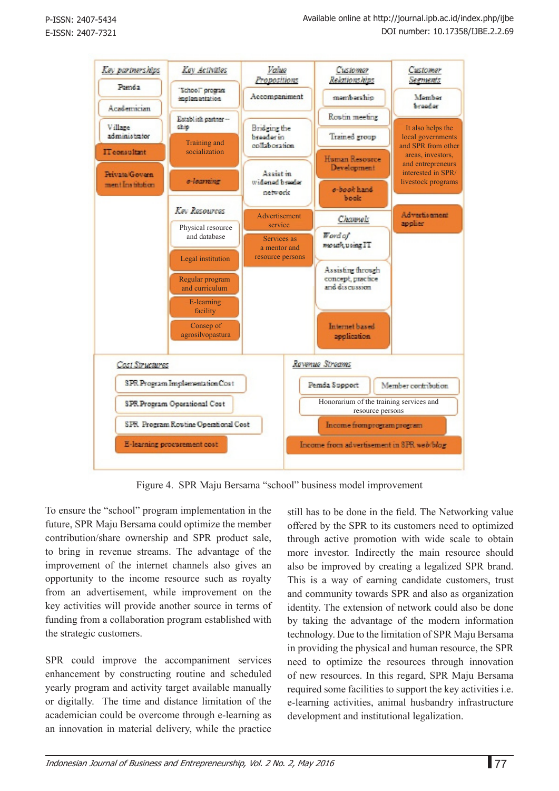

Figure 4. SPR Maju Bersama "school" business model improvement

To ensure the "school" program implementation in the future, SPR Maju Bersama could optimize the member contribution/share ownership and SPR product sale, to bring in revenue streams. The advantage of the improvement of the internet channels also gives an opportunity to the income resource such as royalty from an advertisement, while improvement on the key activities will provide another source in terms of funding from a collaboration program established with the strategic customers.

SPR could improve the accompaniment services enhancement by constructing routine and scheduled yearly program and activity target available manually or digitally. The time and distance limitation of the academician could be overcome through e-learning as an innovation in material delivery, while the practice

still has to be done in the field. The Networking value offered by the SPR to its customers need to optimized through active promotion with wide scale to obtain more investor. Indirectly the main resource should also be improved by creating a legalized SPR brand. This is a way of earning candidate customers, trust and community towards SPR and also as organization identity. The extension of network could also be done by taking the advantage of the modern information technology. Due to the limitation of SPR Maju Bersama in providing the physical and human resource, the SPR need to optimize the resources through innovation of new resources. In this regard, SPR Maju Bersama required some facilities to support the key activities i.e. e-learning activities, animal husbandry infrastructure development and institutional legalization.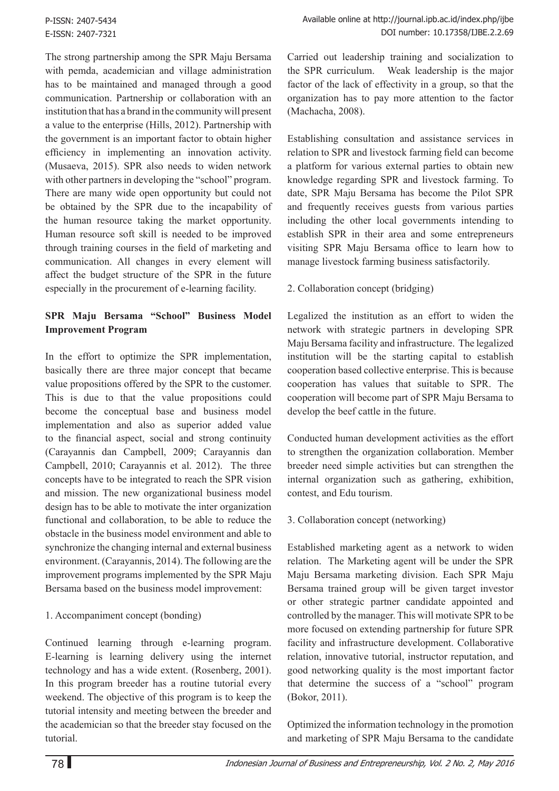The strong partnership among the SPR Maju Bersama with pemda, academician and village administration has to be maintained and managed through a good communication. Partnership or collaboration with an institution that has a brand in the community will present a value to the enterprise (Hills, 2012). Partnership with the government is an important factor to obtain higher efficiency in implementing an innovation activity. (Musaeva, 2015). SPR also needs to widen network with other partners in developing the "school" program. There are many wide open opportunity but could not be obtained by the SPR due to the incapability of the human resource taking the market opportunity. Human resource soft skill is needed to be improved through training courses in the field of marketing and communication. All changes in every element will affect the budget structure of the SPR in the future especially in the procurement of e-learning facility.

## **SPR Maju Bersama "School" Business Model Improvement Program**

In the effort to optimize the SPR implementation, basically there are three major concept that became value propositions offered by the SPR to the customer. This is due to that the value propositions could become the conceptual base and business model implementation and also as superior added value to the financial aspect, social and strong continuity (Carayannis dan Campbell, 2009; Carayannis dan Campbell, 2010; Carayannis et al. 2012). The three concepts have to be integrated to reach the SPR vision and mission. The new organizational business model design has to be able to motivate the inter organization functional and collaboration, to be able to reduce the obstacle in the business model environment and able to synchronize the changing internal and external business environment. (Carayannis, 2014). The following are the improvement programs implemented by the SPR Maju Bersama based on the business model improvement:

## 1. Accompaniment concept (bonding)

Continued learning through e-learning program. E-learning is learning delivery using the internet technology and has a wide extent. (Rosenberg, 2001). In this program breeder has a routine tutorial every weekend. The objective of this program is to keep the tutorial intensity and meeting between the breeder and the academician so that the breeder stay focused on the tutorial.

Carried out leadership training and socialization to the SPR curriculum. Weak leadership is the major factor of the lack of effectivity in a group, so that the organization has to pay more attention to the factor (Machacha, 2008).

Establishing consultation and assistance services in relation to SPR and livestock farming field can become a platform for various external parties to obtain new knowledge regarding SPR and livestock farming. To date, SPR Maju Bersama has become the Pilot SPR and frequently receives guests from various parties including the other local governments intending to establish SPR in their area and some entrepreneurs visiting SPR Maju Bersama office to learn how to manage livestock farming business satisfactorily.

#### 2. Collaboration concept (bridging)

Legalized the institution as an effort to widen the network with strategic partners in developing SPR Maju Bersama facility and infrastructure. The legalized institution will be the starting capital to establish cooperation based collective enterprise. This is because cooperation has values that suitable to SPR. The cooperation will become part of SPR Maju Bersama to develop the beef cattle in the future.

Conducted human development activities as the effort to strengthen the organization collaboration. Member breeder need simple activities but can strengthen the internal organization such as gathering, exhibition, contest, and Edu tourism.

#### 3. Collaboration concept (networking)

Established marketing agent as a network to widen relation. The Marketing agent will be under the SPR Maju Bersama marketing division. Each SPR Maju Bersama trained group will be given target investor or other strategic partner candidate appointed and controlled by the manager. This will motivate SPR to be more focused on extending partnership for future SPR facility and infrastructure development. Collaborative relation, innovative tutorial, instructor reputation, and good networking quality is the most important factor that determine the success of a "school" program (Bokor, 2011).

Optimized the information technology in the promotion and marketing of SPR Maju Bersama to the candidate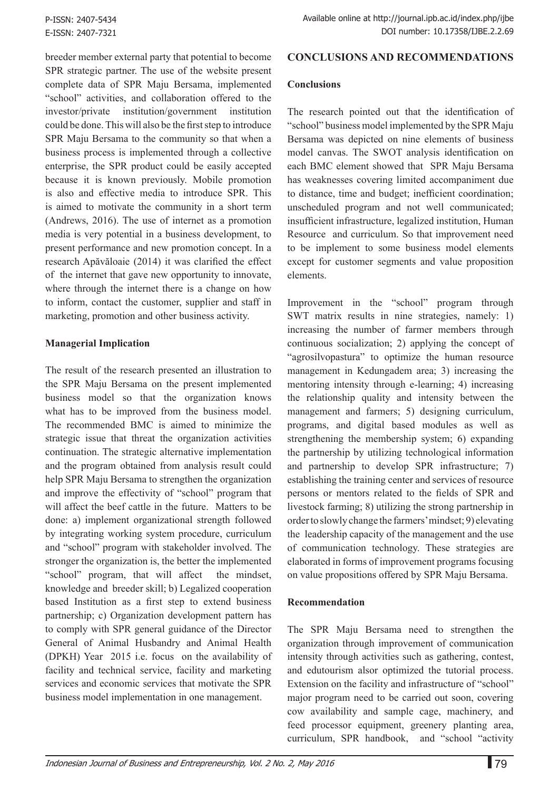breeder member external party that potential to become SPR strategic partner. The use of the website present complete data of SPR Maju Bersama, implemented "school" activities, and collaboration offered to the investor/private institution/government institution could be done. This will also be the first step to introduce SPR Maju Bersama to the community so that when a business process is implemented through a collective enterprise, the SPR product could be easily accepted because it is known previously. Mobile promotion is also and effective media to introduce SPR. This is aimed to motivate the community in a short term (Andrews, 2016). The use of internet as a promotion media is very potential in a business development, to present performance and new promotion concept. In a research Apăvăloaie (2014) it was clarified the effect of the internet that gave new opportunity to innovate, where through the internet there is a change on how to inform, contact the customer, supplier and staff in marketing, promotion and other business activity.

#### **Managerial Implication**

The result of the research presented an illustration to the SPR Maju Bersama on the present implemented business model so that the organization knows what has to be improved from the business model. The recommended BMC is aimed to minimize the strategic issue that threat the organization activities continuation. The strategic alternative implementation and the program obtained from analysis result could help SPR Maju Bersama to strengthen the organization and improve the effectivity of "school" program that will affect the beef cattle in the future. Matters to be done: a) implement organizational strength followed by integrating working system procedure, curriculum and "school" program with stakeholder involved. The stronger the organization is, the better the implemented "school" program, that will affect the mindset, knowledge and breeder skill; b) Legalized cooperation based Institution as a first step to extend business partnership; c) Organization development pattern has to comply with SPR general guidance of the Director General of Animal Husbandry and Animal Health (DPKH) Year 2015 i.e. focus on the availability of facility and technical service, facility and marketing services and economic services that motivate the SPR business model implementation in one management.

# **CONCLUSIONS AND RECOMMENDATIONS**

#### **Conclusions**

The research pointed out that the identification of "school" business model implemented by the SPR Maju Bersama was depicted on nine elements of business model canvas. The SWOT analysis identification on each BMC element showed that SPR Maju Bersama has weaknesses covering limited accompaniment due to distance, time and budget; inefficient coordination; unscheduled program and not well communicated; insufficient infrastructure, legalized institution, Human Resource and curriculum. So that improvement need to be implement to some business model elements except for customer segments and value proposition elements.

Improvement in the "school" program through SWT matrix results in nine strategies, namely: 1) increasing the number of farmer members through continuous socialization; 2) applying the concept of "agrosilvopastura" to optimize the human resource management in Kedungadem area; 3) increasing the mentoring intensity through e-learning; 4) increasing the relationship quality and intensity between the management and farmers; 5) designing curriculum, programs, and digital based modules as well as strengthening the membership system; 6) expanding the partnership by utilizing technological information and partnership to develop SPR infrastructure; 7) establishing the training center and services of resource persons or mentors related to the fields of SPR and livestock farming; 8) utilizing the strong partnership in order to slowly change the farmers' mindset; 9) elevating the leadership capacity of the management and the use of communication technology. These strategies are elaborated in forms of improvement programs focusing on value propositions offered by SPR Maju Bersama.

## **Recommendation**

The SPR Maju Bersama need to strengthen the organization through improvement of communication intensity through activities such as gathering, contest, and edutourism alsor optimized the tutorial process. Extension on the facility and infrastructure of "school" major program need to be carried out soon, covering cow availability and sample cage, machinery, and feed processor equipment, greenery planting area, curriculum, SPR handbook, and "school "activity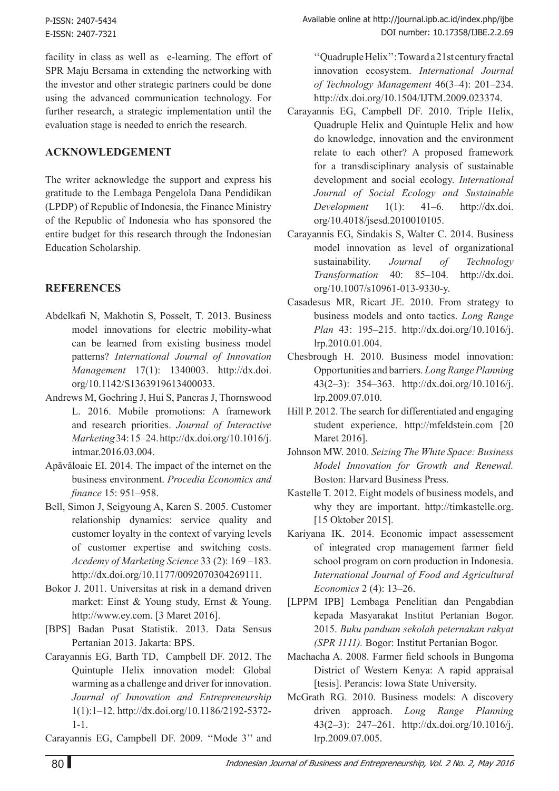facility in class as well as e-learning. The effort of SPR Maju Bersama in extending the networking with the investor and other strategic partners could be done using the advanced communication technology. For further research, a strategic implementation until the evaluation stage is needed to enrich the research.

## **Acknowledgement**

The writer acknowledge the support and express his gratitude to the Lembaga Pengelola Dana Pendidikan (LPDP) of Republic of Indonesia, the Finance Ministry of the Republic of Indonesia who has sponsored the entire budget for this research through the Indonesian Education Scholarship.

## **REFERENCES**

- Abdelkafi N, Makhotin S, Posselt, T. 2013. Business model innovations for electric mobility-what can be learned from existing business model patterns? *International Journal of Innovation Management* 17(1): 1340003. http://dx.doi. org/10.1142/S1363919613400033.
- Andrews M, Goehring J, Hui S, Pancras J, Thornswood L. 2016. Mobile promotions: A framework and research priorities. *Journal of Interactive Marketing* 34: 15–24. http://dx.doi.org/10.1016/j. intmar.2016.03.004.
- Apăvăloaie EI. 2014. The impact of the internet on the business environment. *Procedia Economics and finance* 15: 951–958.
- Bell, Simon J, Seigyoung A, Karen S. 2005. Customer relationship dynamics: service quality and customer loyalty in the context of varying levels of customer expertise and switching costs. *Acedemy of Marketing Science* 33 (2): 169 –183. http://dx.doi.org/10.1177/0092070304269111.
- Bokor J. 2011. Universitas at risk in a demand driven market: Einst & Young study, Ernst & Young. http://www.ey.com. [3 Maret 2016].
- [BPS] Badan Pusat Statistik. 2013. Data Sensus Pertanian 2013. Jakarta: BPS.
- Carayannis EG, Barth TD, Campbell DF. 2012. The Quintuple Helix innovation model: Global warming as a challenge and driver for innovation. *Journal of Innovation and Entrepreneurship* 1(1):1–12. http://dx.doi.org/10.1186/2192-5372- 1-1.

Carayannis EG, Campbell DF. 2009. ''Mode 3'' and

''Quadruple Helix'': Toward a 21st century fractal innovation ecosystem. *International Journal of Technology Management* 46(3–4): 201–234. http://dx.doi.org/10.1504/IJTM.2009.023374.

- Carayannis EG, Campbell DF. 2010. Triple Helix, Quadruple Helix and Quintuple Helix and how do knowledge, innovation and the environment relate to each other? A proposed framework for a transdisciplinary analysis of sustainable development and social ecology. *International Journal of Social Ecology and Sustainable Development* 1(1): 41–6. http://dx.doi. org/10.4018/jsesd.2010010105.
- Carayannis EG, Sindakis S, Walter C. 2014. Business model innovation as level of organizational sustainability. *Journal of Technology Transformation* 40: 85–104. http://dx.doi. org/10.1007/s10961-013-9330-y.
- Casadesus MR, Ricart JE. 2010. From strategy to business models and onto tactics. *Long Range Plan* 43: 195–215. http://dx.doi.org/10.1016/j. lrp.2010.01.004.
- Chesbrough H. 2010. Business model innovation: Opportunities and barriers. *Long Range Planning*  43(2–3): 354–363. http://dx.doi.org/10.1016/j. lrp.2009.07.010.
- Hill P. 2012. The search for differentiated and engaging student experience. http://mfeldstein.com [20 Maret 2016].
- Johnson MW. 2010. *Seizing The White Space: Business Model Innovation for Growth and Renewal.*  Boston: Harvard Business Press.
- Kastelle T. 2012. Eight models of business models, and why they are important. http://timkastelle.org. [15 Oktober 2015].
- Kariyana IK. 2014. Economic impact assessement of integrated crop management farmer field school program on corn production in Indonesia. *International Journal of Food and Agricultural Economics* 2 (4): 13–26.
- [LPPM IPB] Lembaga Penelitian dan Pengabdian kepada Masyarakat Institut Pertanian Bogor. 2015. *Buku panduan sekolah peternakan rakyat (SPR 1111).* Bogor: Institut Pertanian Bogor.
- Machacha A. 2008. Farmer field schools in Bungoma District of Western Kenya: A rapid appraisal [tesis]. Perancis: Iowa State University.
- McGrath RG. 2010. Business models: A discovery driven approach. *Long Range Planning*  43(2–3): 247–261. http://dx.doi.org/10.1016/j. lrp.2009.07.005.